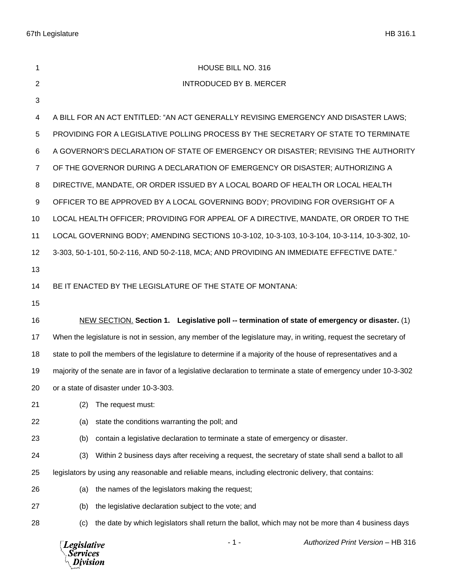| 1  | HOUSE BILL NO. 316                                                                                                |
|----|-------------------------------------------------------------------------------------------------------------------|
| 2  | <b>INTRODUCED BY B. MERCER</b>                                                                                    |
| 3  |                                                                                                                   |
| 4  | A BILL FOR AN ACT ENTITLED: "AN ACT GENERALLY REVISING EMERGENCY AND DISASTER LAWS;                               |
| 5  | PROVIDING FOR A LEGISLATIVE POLLING PROCESS BY THE SECRETARY OF STATE TO TERMINATE                                |
| 6  | A GOVERNOR'S DECLARATION OF STATE OF EMERGENCY OR DISASTER; REVISING THE AUTHORITY                                |
| 7  | OF THE GOVERNOR DURING A DECLARATION OF EMERGENCY OR DISASTER; AUTHORIZING A                                      |
| 8  | DIRECTIVE, MANDATE, OR ORDER ISSUED BY A LOCAL BOARD OF HEALTH OR LOCAL HEALTH                                    |
| 9  | OFFICER TO BE APPROVED BY A LOCAL GOVERNING BODY; PROVIDING FOR OVERSIGHT OF A                                    |
| 10 | LOCAL HEALTH OFFICER; PROVIDING FOR APPEAL OF A DIRECTIVE, MANDATE, OR ORDER TO THE                               |
| 11 | LOCAL GOVERNING BODY; AMENDING SECTIONS 10-3-102, 10-3-103, 10-3-104, 10-3-114, 10-3-302, 10-                     |
| 12 | 3-303, 50-1-101, 50-2-116, AND 50-2-118, MCA; AND PROVIDING AN IMMEDIATE EFFECTIVE DATE."                         |
| 13 |                                                                                                                   |
| 14 | BE IT ENACTED BY THE LEGISLATURE OF THE STATE OF MONTANA:                                                         |
| 15 |                                                                                                                   |
| 16 | NEW SECTION. Section 1. Legislative poll -- termination of state of emergency or disaster. (1)                    |
| 17 | When the legislature is not in session, any member of the legislature may, in writing, request the secretary of   |
| 18 | state to poll the members of the legislature to determine if a majority of the house of representatives and a     |
| 19 | majority of the senate are in favor of a legislative declaration to terminate a state of emergency under 10-3-302 |
| 20 | or a state of disaster under 10-3-303.                                                                            |
| 21 | The request must:<br>(2)                                                                                          |
| 22 | state the conditions warranting the poll; and<br>(a)                                                              |
| 23 | contain a legislative declaration to terminate a state of emergency or disaster.<br>(b)                           |
| 24 | Within 2 business days after receiving a request, the secretary of state shall send a ballot to all<br>(3)        |
| 25 | legislators by using any reasonable and reliable means, including electronic delivery, that contains:             |
| 26 | the names of the legislators making the request;<br>(a)                                                           |
| 27 | the legislative declaration subject to the vote; and<br>(b)                                                       |
| 28 | the date by which legislators shall return the ballot, which may not be more than 4 business days<br>(c)          |

*Legislative*<br>Services<br>*Division*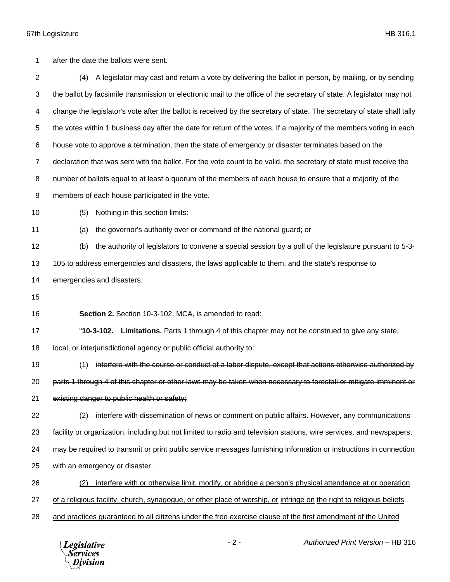after the date the ballots were sent.

 (4) A legislator may cast and return a vote by delivering the ballot in person, by mailing, or by sending the ballot by facsimile transmission or electronic mail to the office of the secretary of state. A legislator may not change the legislator's vote after the ballot is received by the secretary of state. The secretary of state shall tally the votes within 1 business day after the date for return of the votes. If a majority of the members voting in each house vote to approve a termination, then the state of emergency or disaster terminates based on the declaration that was sent with the ballot. For the vote count to be valid, the secretary of state must receive the number of ballots equal to at least a quorum of the members of each house to ensure that a majority of the members of each house participated in the vote. (5) Nothing in this section limits: (a) the governor's authority over or command of the national guard; or (b) the authority of legislators to convene a special session by a poll of the legislature pursuant to 5-3- 105 to address emergencies and disasters, the laws applicable to them, and the state's response to emergencies and disasters. **Section 2.** Section 10-3-102, MCA, is amended to read: "**10-3-102. Limitations.** Parts 1 through 4 of this chapter may not be construed to give any state, local, or interjurisdictional agency or public official authority to: (1) interfere with the course or conduct of a labor dispute, except that actions otherwise authorized by parts 1 through 4 of this chapter or other laws may be taken when necessary to forestall or mitigate imminent or existing danger to public health or safety;  $\left(2\right)$  interfere with dissemination of news or comment on public affairs. However, any communications facility or organization, including but not limited to radio and television stations, wire services, and newspapers, may be required to transmit or print public service messages furnishing information or instructions in connection with an emergency or disaster. (2) interfere with or otherwise limit, modify, or abridge a person's physical attendance at or operation of a religious facility, church, synagogue, or other place of worship, or infringe on the right to religious beliefs and practices guaranteed to all citizens under the free exercise clause of the first amendment of the United

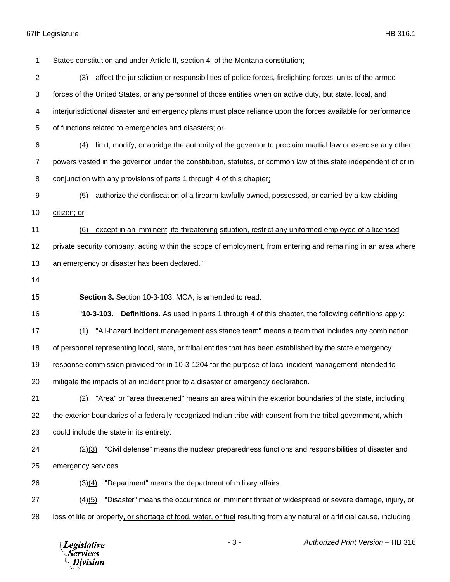| 1              | States constitution and under Article II, section 4, of the Montana constitution;                                       |
|----------------|-------------------------------------------------------------------------------------------------------------------------|
| $\overline{2}$ | (3)<br>affect the jurisdiction or responsibilities of police forces, firefighting forces, units of the armed            |
| 3              | forces of the United States, or any personnel of those entities when on active duty, but state, local, and              |
| 4              | interjurisdictional disaster and emergency plans must place reliance upon the forces available for performance          |
| 5              | of functions related to emergencies and disasters; or                                                                   |
| 6              | limit, modify, or abridge the authority of the governor to proclaim martial law or exercise any other<br>(4)            |
| $\overline{7}$ | powers vested in the governor under the constitution, statutes, or common law of this state independent of or in        |
| 8              | conjunction with any provisions of parts 1 through 4 of this chapter;                                                   |
| 9              | authorize the confiscation of a firearm lawfully owned, possessed, or carried by a law-abiding<br>(5)                   |
| 10             | citizen; or                                                                                                             |
| 11             | except in an imminent life-threatening situation, restrict any uniformed employee of a licensed<br>(6)                  |
| 12             | private security company, acting within the scope of employment, from entering and remaining in an area where           |
| 13             | an emergency or disaster has been declared."                                                                            |
| 14             |                                                                                                                         |
| 15             | Section 3. Section 10-3-103, MCA, is amended to read:                                                                   |
| 16             | "10-3-103. Definitions. As used in parts 1 through 4 of this chapter, the following definitions apply:                  |
| 17             | "All-hazard incident management assistance team" means a team that includes any combination<br>(1)                      |
| 18             | of personnel representing local, state, or tribal entities that has been established by the state emergency             |
| 19             | response commission provided for in 10-3-1204 for the purpose of local incident management intended to                  |
| 20             | mitigate the impacts of an incident prior to a disaster or emergency declaration.                                       |
| 21             | "Area" or "area threatened" means an area within the exterior boundaries of the state, including<br>(2)                 |
| 22             | the exterior boundaries of a federally recognized Indian tribe with consent from the tribal government, which           |
| 23             | could include the state in its entirety.                                                                                |
| 24             | "Civil defense" means the nuclear preparedness functions and responsibilities of disaster and<br>(2)(3)                 |
| 25             | emergency services.                                                                                                     |
| 26             | "Department" means the department of military affairs.<br>$\left( 3\right) (4)$                                         |
| 27             | "Disaster" means the occurrence or imminent threat of widespread or severe damage, injury, or<br>$\frac{(4)(5)}{2}$     |
| 28             | loss of life or property, or shortage of food, water, or fuel resulting from any natural or artificial cause, including |
|                | Authorized Print Version - HB 316<br>$-3-$<br><b>Legislative</b><br><b>Services</b><br>Division                         |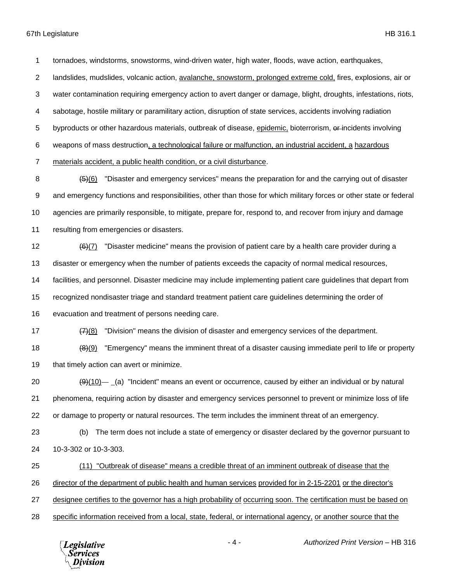tornadoes, windstorms, snowstorms, wind-driven water, high water, floods, wave action, earthquakes,

landslides, mudslides, volcanic action, avalanche, snowstorm, prolonged extreme cold, fires, explosions, air or

water contamination requiring emergency action to avert danger or damage, blight, droughts, infestations, riots,

sabotage, hostile military or paramilitary action, disruption of state services, accidents involving radiation

5 byproducts or other hazardous materials, outbreak of disease, epidemic, bioterrorism, or incidents involving

weapons of mass destruction, a technological failure or malfunction, an industrial accident, a hazardous

materials accident, a public health condition, or a civil disturbance.

8 (5)(6) "Disaster and emergency services" means the preparation for and the carrying out of disaster and emergency functions and responsibilities, other than those for which military forces or other state or federal agencies are primarily responsible, to mitigate, prepare for, respond to, and recover from injury and damage resulting from emergencies or disasters.

 $(6)$ (7) "Disaster medicine" means the provision of patient care by a health care provider during a disaster or emergency when the number of patients exceeds the capacity of normal medical resources, facilities, and personnel. Disaster medicine may include implementing patient care guidelines that depart from recognized nondisaster triage and standard treatment patient care guidelines determining the order of evacuation and treatment of persons needing care.

17  $\left(7\right)(8)$  "Division" means the division of disaster and emergency services of the department.

18 (8)(9) "Emergency" means the imminent threat of a disaster causing immediate peril to life or property 19 that timely action can avert or minimize.

20  $\left(9\right)\left(10\right)$  (a) "Incident" means an event or occurrence, caused by either an individual or by natural phenomena, requiring action by disaster and emergency services personnel to prevent or minimize loss of life or damage to property or natural resources. The term includes the imminent threat of an emergency.

 (b) The term does not include a state of emergency or disaster declared by the governor pursuant to 10-3-302 or 10-3-303.

(11) "Outbreak of disease" means a credible threat of an imminent outbreak of disease that the

director of the department of public health and human services provided for in 2-15-2201 or the director's

designee certifies to the governor has a high probability of occurring soon. The certification must be based on

specific information received from a local, state, federal, or international agency, or another source that the

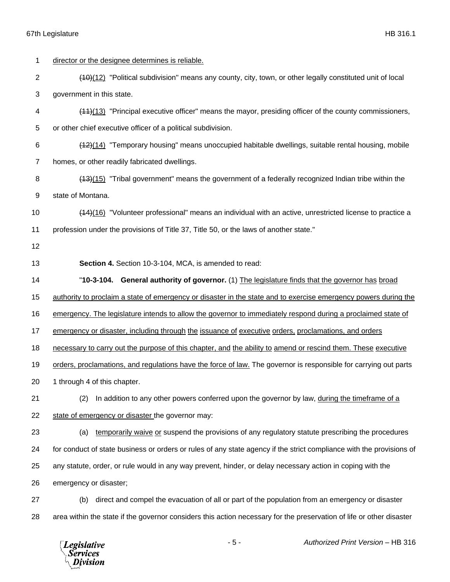| 1              | director or the designee determines is reliable.                                                                     |
|----------------|----------------------------------------------------------------------------------------------------------------------|
| $\overline{2}$ | (40)(12) "Political subdivision" means any county, city, town, or other legally constituted unit of local            |
| 3              | government in this state.                                                                                            |
| 4              | (44)(13) "Principal executive officer" means the mayor, presiding officer of the county commissioners,               |
| 5              | or other chief executive officer of a political subdivision.                                                         |
| 6              | (142)(14) "Temporary housing" means unoccupied habitable dwellings, suitable rental housing, mobile                  |
| 7              | homes, or other readily fabricated dwellings.                                                                        |
| 8              | (13)(15) "Tribal government" means the government of a federally recognized Indian tribe within the                  |
| 9              | state of Montana.                                                                                                    |
| 10             | (14)(16) "Volunteer professional" means an individual with an active, unrestricted license to practice a             |
| 11             | profession under the provisions of Title 37, Title 50, or the laws of another state."                                |
| 12             |                                                                                                                      |
| 13             | Section 4. Section 10-3-104, MCA, is amended to read:                                                                |
| 14             | "10-3-104. General authority of governor. (1) The legislature finds that the governor has broad                      |
| 15             | authority to proclaim a state of emergency or disaster in the state and to exercise emergency powers during the      |
| 16             | emergency. The legislature intends to allow the governor to immediately respond during a proclaimed state of         |
| 17             | emergency or disaster, including through the issuance of executive orders, proclamations, and orders                 |
| 18             | necessary to carry out the purpose of this chapter, and the ability to amend or rescind them. These executive        |
| 19             | orders, proclamations, and regulations have the force of law. The governor is responsible for carrying out parts     |
| 20             | 1 through 4 of this chapter.                                                                                         |
| 21             | In addition to any other powers conferred upon the governor by law, during the timeframe of a<br>(2)                 |
| 22             | state of emergency or disaster the governor may:                                                                     |
|                |                                                                                                                      |
| 23             | temporarily waive or suspend the provisions of any regulatory statute prescribing the procedures<br>(a)              |
| 24             | for conduct of state business or orders or rules of any state agency if the strict compliance with the provisions of |
| 25             | any statute, order, or rule would in any way prevent, hinder, or delay necessary action in coping with the           |
| 26             | emergency or disaster;                                                                                               |
| 27             | direct and compel the evacuation of all or part of the population from an emergency or disaster<br>(b)               |
| 28             | area within the state if the governor considers this action necessary for the preservation of life or other disaster |

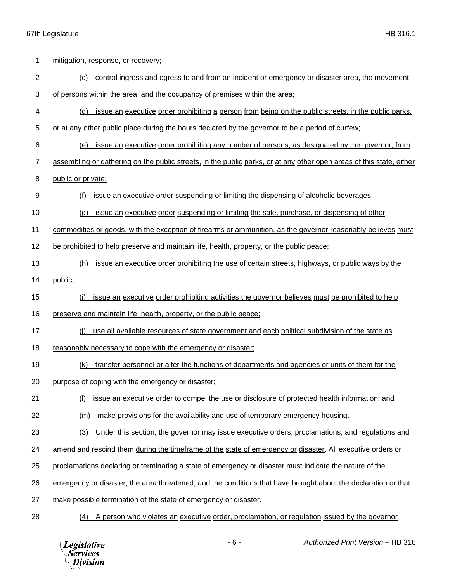| 1              | mitigation, response, or recovery;                                                                                   |
|----------------|----------------------------------------------------------------------------------------------------------------------|
| $\overline{2}$ | control ingress and egress to and from an incident or emergency or disaster area, the movement<br>(c)                |
| 3              | of persons within the area, and the occupancy of premises within the area;                                           |
| 4              | issue an executive order prohibiting a person from being on the public streets, in the public parks,<br>(d)          |
| 5              | or at any other public place during the hours declared by the governor to be a period of curfew;                     |
| 6              | issue an executive order prohibiting any number of persons, as designated by the governor, from<br>(e)               |
| $\overline{7}$ | assembling or gathering on the public streets, in the public parks, or at any other open areas of this state, either |
| 8              | public or private;                                                                                                   |
| 9              | issue an executive order suspending or limiting the dispensing of alcoholic beverages;<br>(f)                        |
| 10             | issue an executive order suspending or limiting the sale, purchase, or dispensing of other<br>(a)                    |
| 11             | commodities or goods, with the exception of firearms or ammunition, as the governor reasonably believes must         |
| 12             | be prohibited to help preserve and maintain life, health, property, or the public peace;                             |
| 13             | issue an executive order prohibiting the use of certain streets, highways, or public ways by the<br>(h)              |
| 14             | public;                                                                                                              |
| 15             | issue an executive order prohibiting activities the governor believes must be prohibited to help<br>(i)              |
|                |                                                                                                                      |
| 16             | preserve and maintain life, health, property, or the public peace;                                                   |
| 17             | use all available resources of state government and each political subdivision of the state as<br>(i)                |
| 18             | reasonably necessary to cope with the emergency or disaster;                                                         |
| 19             | transfer personnel or alter the functions of departments and agencies or units of them for the<br>(k)                |
| 20             | purpose of coping with the emergency or disaster;                                                                    |
| 21             | issue an executive order to compel the use or disclosure of protected health information; and                        |
| 22             | make provisions for the availability and use of temporary emergency housing.<br>(m)                                  |
| 23             | Under this section, the governor may issue executive orders, proclamations, and regulations and<br>(3)               |
| 24             | amend and rescind them during the timeframe of the state of emergency or disaster. All executive orders or           |
| 25             | proclamations declaring or terminating a state of emergency or disaster must indicate the nature of the              |
| 26             | emergency or disaster, the area threatened, and the conditions that have brought about the declaration or that       |
| 27             | make possible termination of the state of emergency or disaster.                                                     |

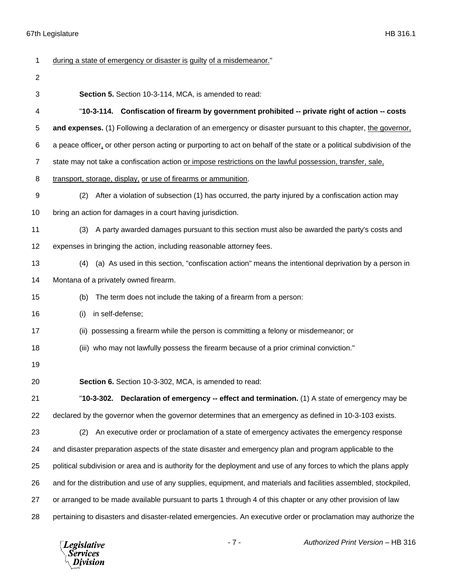| 1              | during a state of emergency or disaster is guilty of a misdemeanor."                                                  |
|----------------|-----------------------------------------------------------------------------------------------------------------------|
| $\overline{2}$ |                                                                                                                       |
| 3              | Section 5. Section 10-3-114, MCA, is amended to read:                                                                 |
| 4              | "10-3-114. Confiscation of firearm by government prohibited -- private right of action -- costs                       |
| 5              | and expenses. (1) Following a declaration of an emergency or disaster pursuant to this chapter, the governor,         |
| 6              | a peace officer, or other person acting or purporting to act on behalf of the state or a political subdivision of the |
| $\overline{7}$ | state may not take a confiscation action or impose restrictions on the lawful possession, transfer, sale,             |
| 8              | transport, storage, display, or use of firearms or ammunition.                                                        |
| 9              | After a violation of subsection (1) has occurred, the party injured by a confiscation action may<br>(2)               |
| 10             | bring an action for damages in a court having jurisdiction.                                                           |
| 11             | A party awarded damages pursuant to this section must also be awarded the party's costs and<br>(3)                    |
| 12             | expenses in bringing the action, including reasonable attorney fees.                                                  |
| 13             | (a) As used in this section, "confiscation action" means the intentional deprivation by a person in<br>(4)            |
| 14             | Montana of a privately owned firearm.                                                                                 |
| 15             | The term does not include the taking of a firearm from a person:<br>(b)                                               |
| 16             | in self-defense;<br>(i)                                                                                               |
| 17             | possessing a firearm while the person is committing a felony or misdemeanor; or<br>(ii)                               |
| 18             | (iii) who may not lawfully possess the firearm because of a prior criminal conviction."                               |
| 19             |                                                                                                                       |
| 20             | Section 6. Section 10-3-302, MCA, is amended to read:                                                                 |
| 21             | <b>Declaration of emergency -- effect and termination.</b> (1) A state of emergency may be<br>"10-3-302.              |
| 22             | declared by the governor when the governor determines that an emergency as defined in 10-3-103 exists.                |
| 23             | An executive order or proclamation of a state of emergency activates the emergency response<br>(2)                    |
| 24             | and disaster preparation aspects of the state disaster and emergency plan and program applicable to the               |
| 25             | political subdivision or area and is authority for the deployment and use of any forces to which the plans apply      |
| 26             | and for the distribution and use of any supplies, equipment, and materials and facilities assembled, stockpiled,      |
| 27             | or arranged to be made available pursuant to parts 1 through 4 of this chapter or any other provision of law          |
| 28             | pertaining to disasters and disaster-related emergencies. An executive order or proclamation may authorize the        |

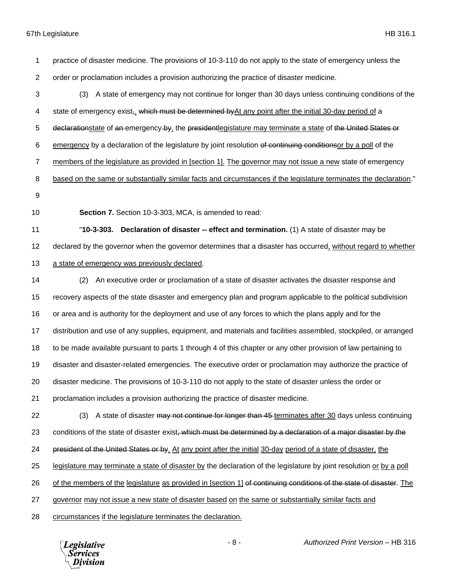practice of disaster medicine. The provisions of 10-3-110 do not apply to the state of emergency unless the order or proclamation includes a provision authorizing the practice of disaster medicine. (3) A state of emergency may not continue for longer than 30 days unless continuing conditions of the 4 state of emergency exist,. which must be determined by At any point after the initial 30-day period of a 5 declarationstate of an emergency by, the president legislature may terminate a state of the United States or emergency by a declaration of the legislature by joint resolution of continuing conditionsor by a poll of the members of the legislature as provided in [section 1]. The governor may not issue a new state of emergency 8 based on the same or substantially similar facts and circumstances if the legislature terminates the declaration." **Section 7.** Section 10-3-303, MCA, is amended to read: "**10-3-303. Declaration of disaster -- effect and termination.** (1) A state of disaster may be 12 declared by the governor when the governor determines that a disaster has occurred, without regard to whether a state of emergency was previously declared. (2) An executive order or proclamation of a state of disaster activates the disaster response and recovery aspects of the state disaster and emergency plan and program applicable to the political subdivision or area and is authority for the deployment and use of any forces to which the plans apply and for the distribution and use of any supplies, equipment, and materials and facilities assembled, stockpiled, or arranged to be made available pursuant to parts 1 through 4 of this chapter or any other provision of law pertaining to disaster and disaster-related emergencies. The executive order or proclamation may authorize the practice of disaster medicine. The provisions of 10-3-110 do not apply to the state of disaster unless the order or proclamation includes a provision authorizing the practice of disaster medicine. 22 (3) A state of disaster may not continue for longer than 45 terminates after 30 days unless continuing 23 conditions of the state of disaster exist, which must be determined by a declaration of a major disaster by the 24 president of the United States or by. At any point after the initial 30-day period of a state of disaster, the legislature may terminate a state of disaster by the declaration of the legislature by joint resolution or by a poll 26 of the members of the legislature as provided in [section 1] of continuing conditions of the state of disaster. The governor may not issue a new state of disaster based on the same or substantially similar facts and circumstances if the legislature terminates the declaration.



- 8 - *Authorized Print Version* – HB 316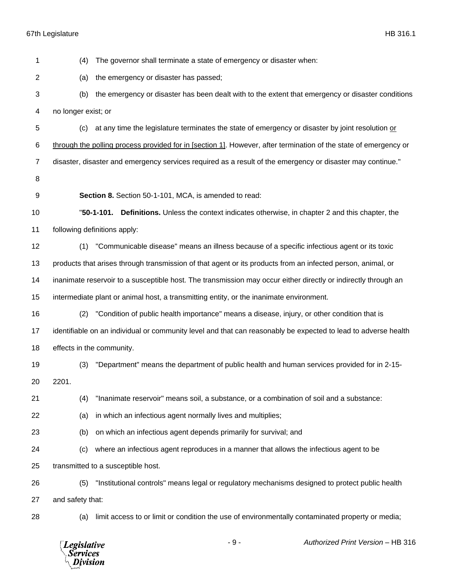| 1              | (4)                                        | The governor shall terminate a state of emergency or disaster when:                                              |
|----------------|--------------------------------------------|------------------------------------------------------------------------------------------------------------------|
| 2              | (a)                                        | the emergency or disaster has passed;                                                                            |
| 3              | (b)                                        | the emergency or disaster has been dealt with to the extent that emergency or disaster conditions                |
| 4              | no longer exist; or                        |                                                                                                                  |
| 5              | (c)                                        | at any time the legislature terminates the state of emergency or disaster by joint resolution or                 |
| 6              |                                            | through the polling process provided for in [section 1]. However, after termination of the state of emergency or |
| $\overline{7}$ |                                            | disaster, disaster and emergency services required as a result of the emergency or disaster may continue."       |
| 8              |                                            |                                                                                                                  |
| 9              |                                            | Section 8. Section 50-1-101, MCA, is amended to read:                                                            |
| 10             |                                            | "50-1-101. Definitions. Unless the context indicates otherwise, in chapter 2 and this chapter, the               |
| 11             |                                            | following definitions apply:                                                                                     |
| 12             | (1)                                        | "Communicable disease" means an illness because of a specific infectious agent or its toxic                      |
| 13             |                                            | products that arises through transmission of that agent or its products from an infected person, animal, or      |
| 14             |                                            | inanimate reservoir to a susceptible host. The transmission may occur either directly or indirectly through an   |
| 15             |                                            | intermediate plant or animal host, a transmitting entity, or the inanimate environment.                          |
| 16             | (2)                                        | "Condition of public health importance" means a disease, injury, or other condition that is                      |
| 17             |                                            | identifiable on an individual or community level and that can reasonably be expected to lead to adverse health   |
| 18             | effects in the community.                  |                                                                                                                  |
| 19             | (3)                                        | "Department" means the department of public health and human services provided for in 2-15-                      |
| 20             | 2201.                                      |                                                                                                                  |
| 21             | (4)                                        | "Inanimate reservoir" means soil, a substance, or a combination of soil and a substance:                         |
| 22             | (a)                                        | in which an infectious agent normally lives and multiplies;                                                      |
| 23             | (b)                                        | on which an infectious agent depends primarily for survival; and                                                 |
| 24             | (c)                                        | where an infectious agent reproduces in a manner that allows the infectious agent to be                          |
| 25             |                                            | transmitted to a susceptible host.                                                                               |
| 26             | (5)                                        | "Institutional controls" means legal or regulatory mechanisms designed to protect public health                  |
| 27             | and safety that:                           |                                                                                                                  |
| 28             | (a)                                        | limit access to or limit or condition the use of environmentally contaminated property or media;                 |
|                | <b>Legislative</b><br>Services<br>Division | Authorized Print Version - HB 316<br>$-9-$                                                                       |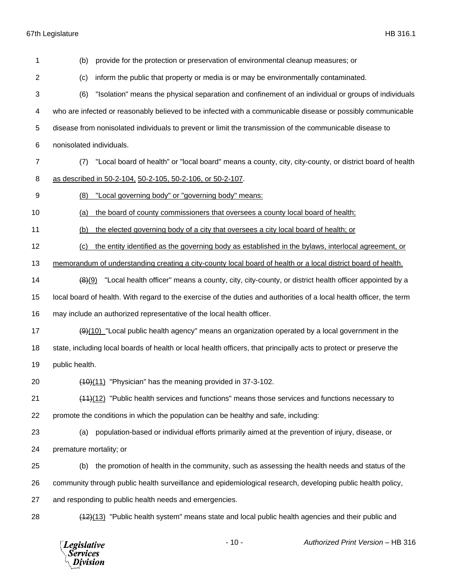(b) provide for the protection or preservation of environmental cleanup measures; or (c) inform the public that property or media is or may be environmentally contaminated. (6) "Isolation" means the physical separation and confinement of an individual or groups of individuals who are infected or reasonably believed to be infected with a communicable disease or possibly communicable disease from nonisolated individuals to prevent or limit the transmission of the communicable disease to nonisolated individuals. (7) "Local board of health" or "local board" means a county, city, city-county, or district board of health as described in 50-2-104, 50-2-105, 50-2-106, or 50-2-107. (8) "Local governing body" or "governing body" means: (a) the board of county commissioners that oversees a county local board of health; (b) the elected governing body of a city that oversees a city local board of health; or (c) the entity identified as the governing body as established in the bylaws, interlocal agreement, or memorandum of understanding creating a city-county local board of health or a local district board of health.  $\left(8\right)(9)$  "Local health officer" means a county, city, city-county, or district health officer appointed by a local board of health. With regard to the exercise of the duties and authorities of a local health officer, the term may include an authorized representative of the local health officer.  $\left(\frac{9}{10}\right)$  "Local public health agency" means an organization operated by a local government in the state, including local boards of health or local health officers, that principally acts to protect or preserve the public health.  $(40)(11)$  "Physician" has the meaning provided in 37-3-102. (11)(12) "Public health services and functions" means those services and functions necessary to promote the conditions in which the population can be healthy and safe, including: (a) population-based or individual efforts primarily aimed at the prevention of injury, disease, or premature mortality; or (b) the promotion of health in the community, such as assessing the health needs and status of the community through public health surveillance and epidemiological research, developing public health policy, and responding to public health needs and emergencies. 28 (12)(13) "Public health system" means state and local public health agencies and their public and

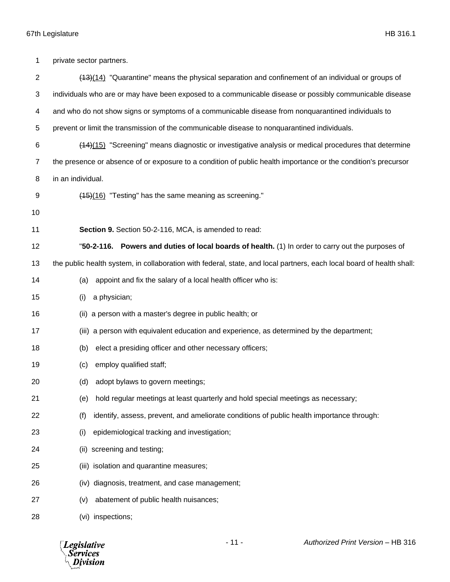| 1              | private sector partners.                                                                                              |  |
|----------------|-----------------------------------------------------------------------------------------------------------------------|--|
| $\overline{2}$ | $(13)(14)$ "Quarantine" means the physical separation and confinement of an individual or groups of                   |  |
| 3              | individuals who are or may have been exposed to a communicable disease or possibly communicable disease               |  |
| 4              | and who do not show signs or symptoms of a communicable disease from nonquarantined individuals to                    |  |
| 5              | prevent or limit the transmission of the communicable disease to nonquarantined individuals.                          |  |
| 6              | (44)(15) "Screening" means diagnostic or investigative analysis or medical procedures that determine                  |  |
| 7              | the presence or absence of or exposure to a condition of public health importance or the condition's precursor        |  |
| 8              | in an individual.                                                                                                     |  |
| 9              | $(15)(16)$ "Testing" has the same meaning as screening."                                                              |  |
| 10             |                                                                                                                       |  |
| 11             | Section 9. Section 50-2-116, MCA, is amended to read:                                                                 |  |
| 12             | "50-2-116. Powers and duties of local boards of health. (1) In order to carry out the purposes of                     |  |
| 13             | the public health system, in collaboration with federal, state, and local partners, each local board of health shall: |  |
| 14             | appoint and fix the salary of a local health officer who is:<br>(a)                                                   |  |
| 15             | a physician;<br>(i)                                                                                                   |  |
| 16             | a person with a master's degree in public health; or<br>(ii)                                                          |  |
| 17             | (iii) a person with equivalent education and experience, as determined by the department;                             |  |
| 18             | elect a presiding officer and other necessary officers;<br>(b)                                                        |  |
| 19             | employ qualified staff;<br>(c)                                                                                        |  |
| 20             | (d) adopt bylaws to govern meetings;                                                                                  |  |
| 21             | hold regular meetings at least quarterly and hold special meetings as necessary;<br>(e)                               |  |
| 22             | identify, assess, prevent, and ameliorate conditions of public health importance through:<br>(f)                      |  |
| 23             | (i)<br>epidemiological tracking and investigation;                                                                    |  |
| 24             | screening and testing;<br>(ii)                                                                                        |  |
| 25             | isolation and quarantine measures;<br>(iii)                                                                           |  |
| 26             | diagnosis, treatment, and case management;<br>(iv)                                                                    |  |
| 27             | abatement of public health nuisances;<br>(v)                                                                          |  |
| 28             | (vi) inspections;                                                                                                     |  |

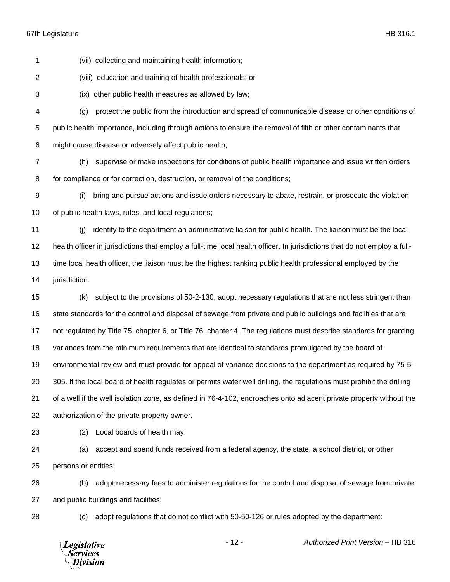(vii) collecting and maintaining health information; (viii) education and training of health professionals; or (ix) other public health measures as allowed by law; (g) protect the public from the introduction and spread of communicable disease or other conditions of public health importance, including through actions to ensure the removal of filth or other contaminants that might cause disease or adversely affect public health; (h) supervise or make inspections for conditions of public health importance and issue written orders for compliance or for correction, destruction, or removal of the conditions; (i) bring and pursue actions and issue orders necessary to abate, restrain, or prosecute the violation of public health laws, rules, and local regulations; (j) identify to the department an administrative liaison for public health. The liaison must be the local health officer in jurisdictions that employ a full-time local health officer. In jurisdictions that do not employ a full-

 time local health officer, the liaison must be the highest ranking public health professional employed by the jurisdiction.

 (k) subject to the provisions of 50-2-130, adopt necessary regulations that are not less stringent than state standards for the control and disposal of sewage from private and public buildings and facilities that are not regulated by Title 75, chapter 6, or Title 76, chapter 4. The regulations must describe standards for granting variances from the minimum requirements that are identical to standards promulgated by the board of environmental review and must provide for appeal of variance decisions to the department as required by 75-5- 305. If the local board of health regulates or permits water well drilling, the regulations must prohibit the drilling of a well if the well isolation zone, as defined in 76-4-102, encroaches onto adjacent private property without the authorization of the private property owner.

(2) Local boards of health may:

 (a) accept and spend funds received from a federal agency, the state, a school district, or other persons or entities;

 (b) adopt necessary fees to administer regulations for the control and disposal of sewage from private and public buildings and facilities;

(c) adopt regulations that do not conflict with 50-50-126 or rules adopted by the department:

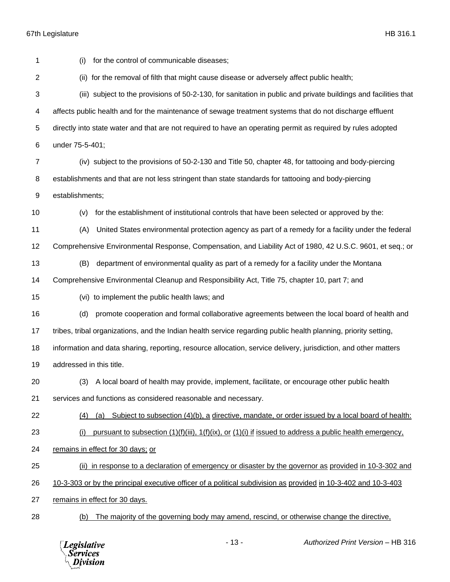(i) for the control of communicable diseases; (ii) for the removal of filth that might cause disease or adversely affect public health; (iii) subject to the provisions of 50-2-130, for sanitation in public and private buildings and facilities that affects public health and for the maintenance of sewage treatment systems that do not discharge effluent directly into state water and that are not required to have an operating permit as required by rules adopted under 75-5-401; (iv) subject to the provisions of 50-2-130 and Title 50, chapter 48, for tattooing and body-piercing establishments and that are not less stringent than state standards for tattooing and body-piercing establishments; (v) for the establishment of institutional controls that have been selected or approved by the: (A) United States environmental protection agency as part of a remedy for a facility under the federal Comprehensive Environmental Response, Compensation, and Liability Act of 1980, 42 U.S.C. 9601, et seq.; or (B) department of environmental quality as part of a remedy for a facility under the Montana Comprehensive Environmental Cleanup and Responsibility Act, Title 75, chapter 10, part 7; and (vi) to implement the public health laws; and (d) promote cooperation and formal collaborative agreements between the local board of health and tribes, tribal organizations, and the Indian health service regarding public health planning, priority setting, information and data sharing, reporting, resource allocation, service delivery, jurisdiction, and other matters addressed in this title. (3) A local board of health may provide, implement, facilitate, or encourage other public health services and functions as considered reasonable and necessary. (4) (a) Subject to subsection (4)(b), a directive, mandate, or order issued by a local board of health: (i) pursuant to subsection (1)(f)(iii), 1(f)(ix), or (1)(i) if issued to address a public health emergency, remains in effect for 30 days; or (ii) in response to a declaration of emergency or disaster by the governor as provided in 10-3-302 and 10-3-303 or by the principal executive officer of a political subdivision as provided in 10-3-402 and 10-3-403 remains in effect for 30 days. (b) The majority of the governing body may amend, rescind, or otherwise change the directive,

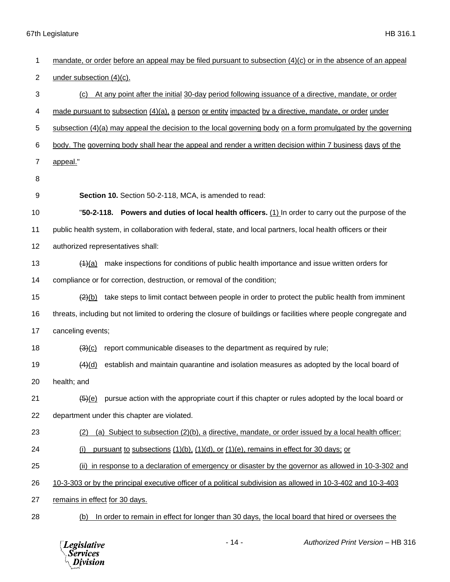| 1  | mandate, or order before an appeal may be filed pursuant to subsection (4)(c) or in the absence of an appeal          |
|----|-----------------------------------------------------------------------------------------------------------------------|
| 2  | under subsection (4)(c).                                                                                              |
| 3  | At any point after the initial 30-day period following issuance of a directive, mandate, or order<br>(C)              |
| 4  | made pursuant to subsection (4)(a), a person or entity impacted by a directive, mandate, or order under               |
| 5  | subsection $(4)(a)$ may appeal the decision to the local governing body on a form promulgated by the governing        |
| 6  | body. The governing body shall hear the appeal and render a written decision within 7 business days of the            |
| 7  | appeal."                                                                                                              |
| 8  |                                                                                                                       |
| 9  | Section 10. Section 50-2-118, MCA, is amended to read:                                                                |
| 10 | "50-2-118. Powers and duties of local health officers. (1) In order to carry out the purpose of the                   |
| 11 | public health system, in collaboration with federal, state, and local partners, local health officers or their        |
| 12 | authorized representatives shall:                                                                                     |
| 13 | make inspections for conditions of public health importance and issue written orders for<br>$\frac{(4)(a)}{b}$        |
| 14 | compliance or for correction, destruction, or removal of the condition;                                               |
| 15 | $\frac{2}{2}$ take steps to limit contact between people in order to protect the public health from imminent          |
| 16 | threats, including but not limited to ordering the closure of buildings or facilities where people congregate and     |
| 17 | canceling events;                                                                                                     |
| 18 | report communicable diseases to the department as required by rule;<br>$\frac{(3)(c)}{c}$                             |
| 19 | establish and maintain quarantine and isolation measures as adopted by the local board of<br>(4)(d)                   |
| 20 | health; and                                                                                                           |
| 21 | pursue action with the appropriate court if this chapter or rules adopted by the local board or<br><del>(5)</del> (e) |
| 22 | department under this chapter are violated.                                                                           |
| 23 | (a) Subject to subsection (2)(b), a directive, mandate, or order issued by a local health officer:<br>(2)             |
| 24 | pursuant to subsections (1)(b), (1)(d), or (1)(e), remains in effect for 30 days; or<br>(i)                           |
| 25 | (ii) in response to a declaration of emergency or disaster by the governor as allowed in 10-3-302 and                 |
| 26 | 10-3-303 or by the principal executive officer of a political subdivision as allowed in 10-3-402 and 10-3-403         |
| 27 | remains in effect for 30 days.                                                                                        |
| 28 | In order to remain in effect for longer than 30 days, the local board that hired or oversees the<br>(b)               |